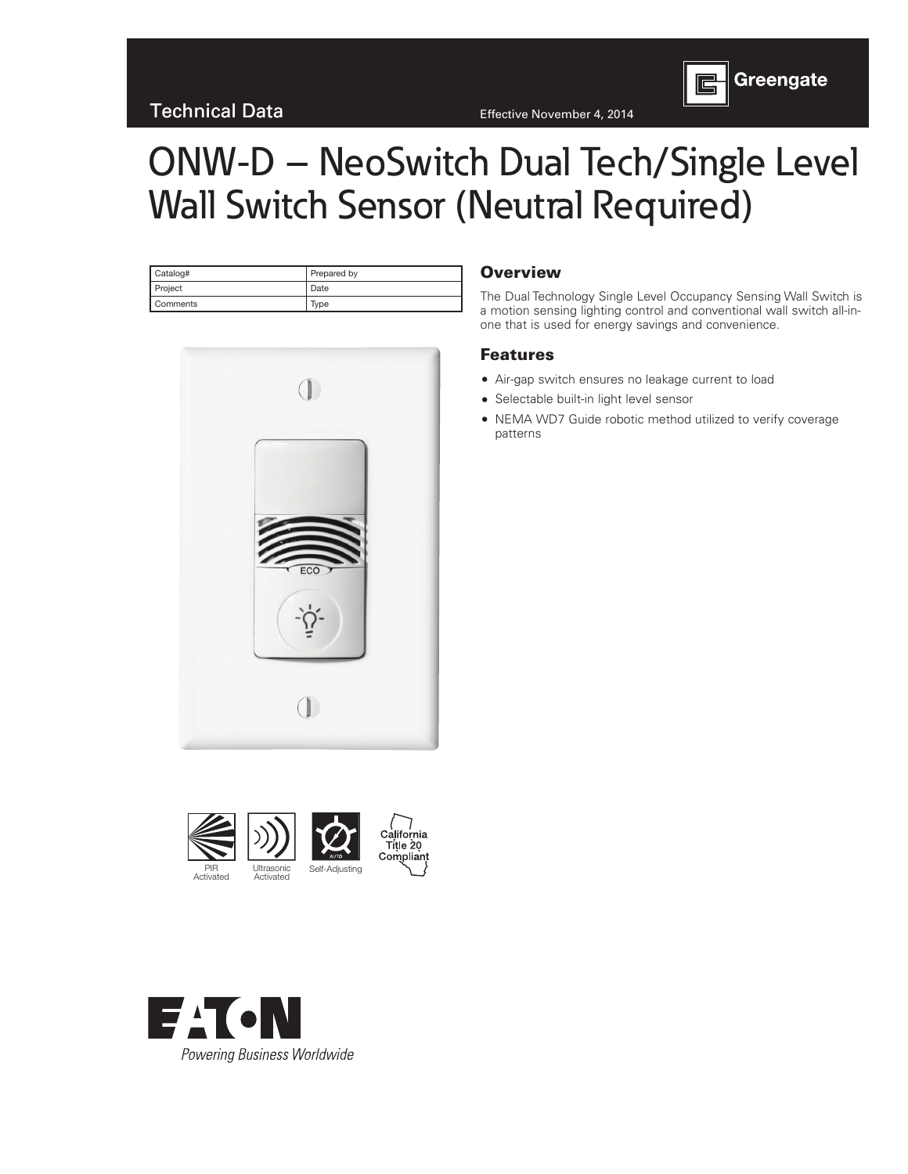

| Catalog#        | Prepared by |
|-----------------|-------------|
| Project         | Date        |
| <b>Comments</b> | Type        |



#### **Overview**

The Dual Technology Single Level Occupancy Sensing Wall Switch is a motion sensing lighting control and conventional wall switch all-inone that is used for energy savings and convenience.

### Features

- Air-gap switch ensures no leakage current to load
- Selectable built-in light level sensor
- NEMA WD7 Guide robotic method utilized to verify coverage patterns



PIR Activated Ultrasonic Ultrasonic<br>Activated



Greengate  $\mathbf{E}$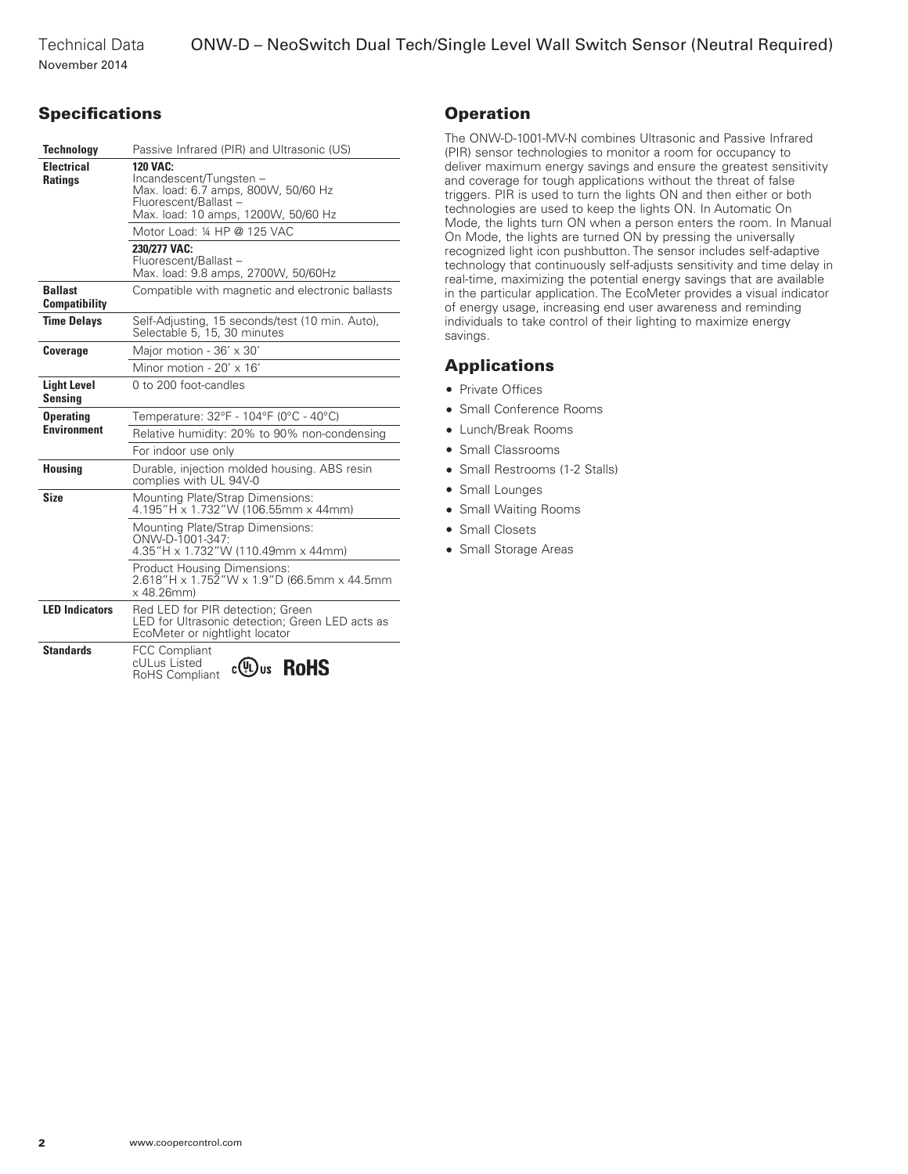November 2014

# **Specifications**

| <b>Technology</b>                      | Passive Infrared (PIR) and Ultrasonic (US)                                                                                                        |  |  |  |
|----------------------------------------|---------------------------------------------------------------------------------------------------------------------------------------------------|--|--|--|
| <b>Electrical</b><br><b>Ratings</b>    | <b>120 VAC:</b><br>Incandescent/Tungsten -<br>Max. load: 6.7 amps, 800W, 50/60 Hz<br>Fluorescent/Ballast -<br>Max. load: 10 amps, 1200W, 50/60 Hz |  |  |  |
|                                        | Motor Load: 1/4 HP @ 125 VAC                                                                                                                      |  |  |  |
|                                        | 230/277 VAC:<br>Fluorescent/Ballast-<br>Max. load: 9.8 amps, 2700W, 50/60Hz                                                                       |  |  |  |
| <b>Ballast</b><br><b>Compatibility</b> | Compatible with magnetic and electronic ballasts                                                                                                  |  |  |  |
| <b>Time Delavs</b>                     | Self-Adjusting, 15 seconds/test (10 min. Auto),<br>Selectable 5, 15, 30 minutes                                                                   |  |  |  |
| <b>Coverage</b>                        | Major motion - 36' x 30'                                                                                                                          |  |  |  |
|                                        | Minor motion - $20' \times 16'$                                                                                                                   |  |  |  |
| <b>Light Level</b><br>Sensina          | 0 to 200 foot-candles                                                                                                                             |  |  |  |
| <b>Operating</b>                       | Temperature: 32°F - 104°F (0°C - 40°C)                                                                                                            |  |  |  |
| <b>Environment</b>                     | Relative humidity: 20% to 90% non-condensing                                                                                                      |  |  |  |
|                                        | For indoor use only                                                                                                                               |  |  |  |
| <b>Housing</b>                         | Durable, injection molded housing. ABS resin<br>complies with UL 94V-0                                                                            |  |  |  |
| <b>Size</b>                            | Mounting Plate/Strap Dimensions:<br>4.195"H x 1.732"W (106.55mm x 44mm)                                                                           |  |  |  |
|                                        | Mounting Plate/Strap Dimensions:<br>ONW-D-1001-347:<br>4.35"H x 1.732"W (110.49mm x 44mm)                                                         |  |  |  |
|                                        | <b>Product Housing Dimensions:</b><br>2.618"H x 1.752"W x 1.9"D (66.5mm x 44.5mm<br>$x$ 48.26 $mm$ )                                              |  |  |  |
| <b>LED Indicators</b>                  | Red LED for PIR detection; Green<br>LED for Ultrasonic detection; Green LED acts as<br>EcoMeter or nightlight locator                             |  |  |  |
| <b>Standards</b>                       | <b>FCC Compliant</b><br>cULus Listed<br><b>RoHS</b><br>c(VL)us<br>RoHS Compliant                                                                  |  |  |  |

# **Operation**

The ONW-D-1001-MV-N combines Ultrasonic and Passive Infrared (PIR) sensor technologies to monitor a room for occupancy to deliver maximum energy savings and ensure the greatest sensitivity and coverage for tough applications without the threat of false triggers. PIR is used to turn the lights ON and then either or both technologies are used to keep the lights ON. In Automatic On Mode, the lights turn ON when a person enters the room. In Manual On Mode, the lights are turned ON by pressing the universally recognized light icon pushbutton. The sensor includes self-adaptive technology that continuously self-adjusts sensitivity and time delay in real-time, maximizing the potential energy savings that are available in the particular application. The EcoMeter provides a visual indicator of energy usage, increasing end user awareness and reminding individuals to take control of their lighting to maximize energy savings.

### Applications

- Private Offices
- Small Conference Rooms
- Lunch/Break Rooms
- Small Classrooms
- Small Restrooms (1-2 Stalls)
- Small Lounges
- Small Waiting Rooms
- Small Closets
- Small Storage Areas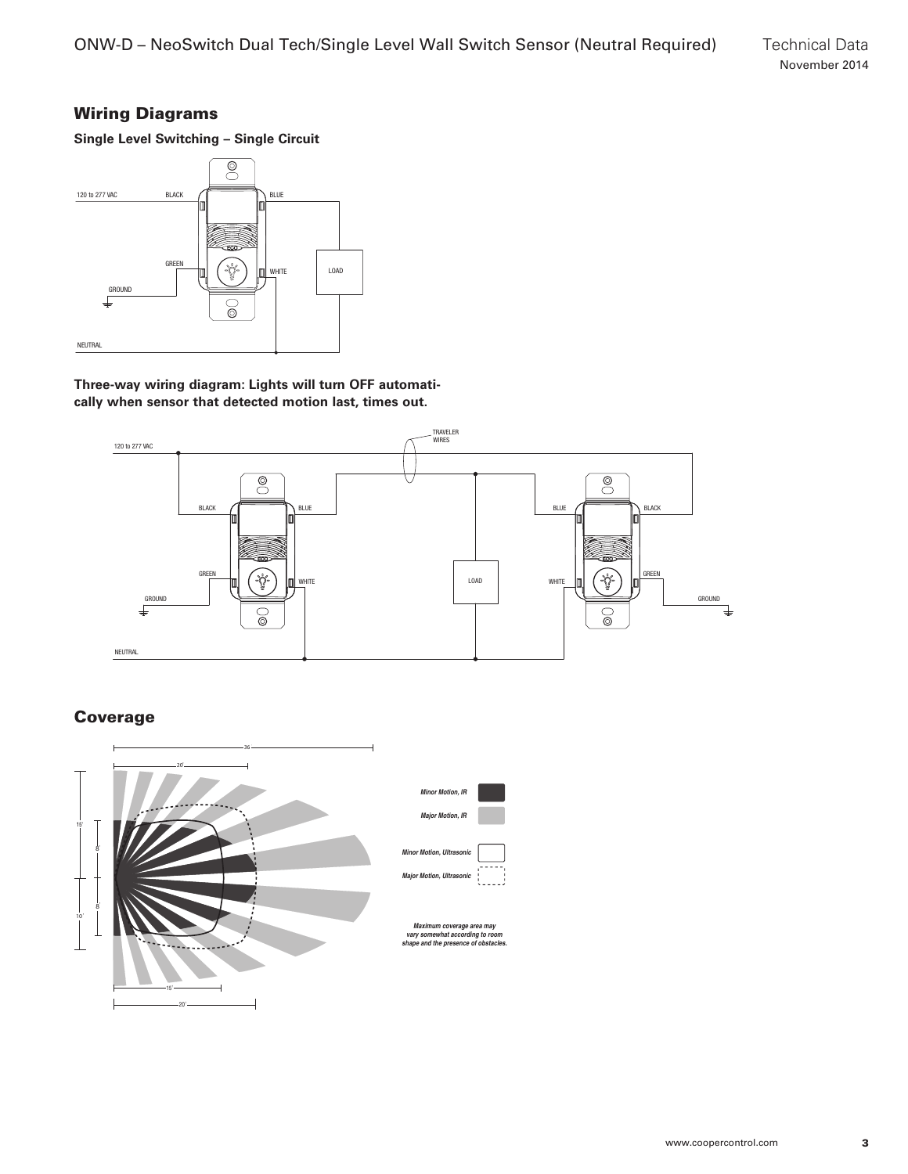# Wiring Diagrams

**Single Level Switching – Single Circuit**



**Three-way wiring diagram: Lights will turn OFF automatically when sensor that detected motion last, times out.**



Coverage